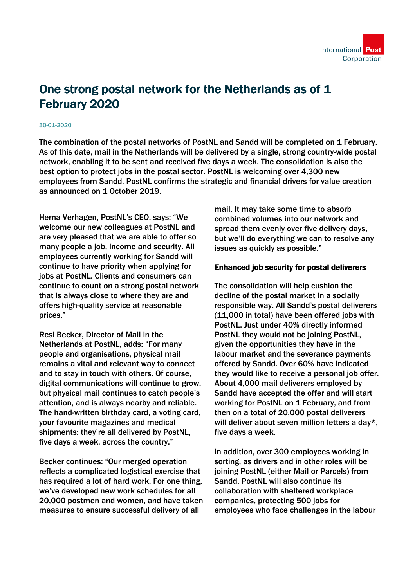

## One strong postal network for the Netherlands as of 1 February 2020

## 30-01-2020

The combination of the postal networks of PostNL and Sandd will be completed on 1 February. As of this date, mail in the Netherlands will be delivered by a single, strong country-wide postal network, enabling it to be sent and received five days a week. The consolidation is also the best option to protect jobs in the postal sector. PostNL is welcoming over 4,300 new employees from Sandd. PostNL confirms the strategic and financial drivers for value creation as announced on 1 October 2019.

Herna Verhagen, PostNL's CEO, says: "We welcome our new colleagues at PostNL and are very pleased that we are able to offer so many people a job, income and security. All employees currently working for Sandd will continue to have priority when applying for jobs at PostNL. Clients and consumers can continue to count on a strong postal network that is always close to where they are and offers high-quality service at reasonable prices."

Resi Becker, Director of Mail in the Netherlands at PostNL, adds: "For many people and organisations, physical mail remains a vital and relevant way to connect and to stay in touch with others. Of course, digital communications will continue to grow, but physical mail continues to catch people's attention, and is always nearby and reliable. The hand-written birthday card, a voting card, your favourite magazines and medical shipments: they're all delivered by PostNL, five days a week, across the country."

Becker continues: "Our merged operation reflects a complicated logistical exercise that has required a lot of hard work. For one thing, we've developed new work schedules for all 20,000 postmen and women, and have taken measures to ensure successful delivery of all

mail. It may take some time to absorb combined volumes into our network and spread them evenly over five delivery days, but we'll do everything we can to resolve any issues as quickly as possible."

## Enhanced job security for postal deliverers

The consolidation will help cushion the decline of the postal market in a socially responsible way. All Sandd's postal deliverers (11,000 in total) have been offered jobs with PostNL. Just under 40% directly informed PostNL they would not be joining PostNL, given the opportunities they have in the labour market and the severance payments offered by Sandd. Over 60% have indicated they would like to receive a personal job offer. About 4,000 mail deliverers employed by Sandd have accepted the offer and will start working for PostNL on 1 February, and from then on a total of 20,000 postal deliverers will deliver about seven million letters a day\*, five days a week.

In addition, over 300 employees working in sorting, as drivers and in other roles will be joining PostNL (either Mail or Parcels) from Sandd. PostNL will also continue its collaboration with sheltered workplace companies, protecting 500 jobs for employees who face challenges in the labour